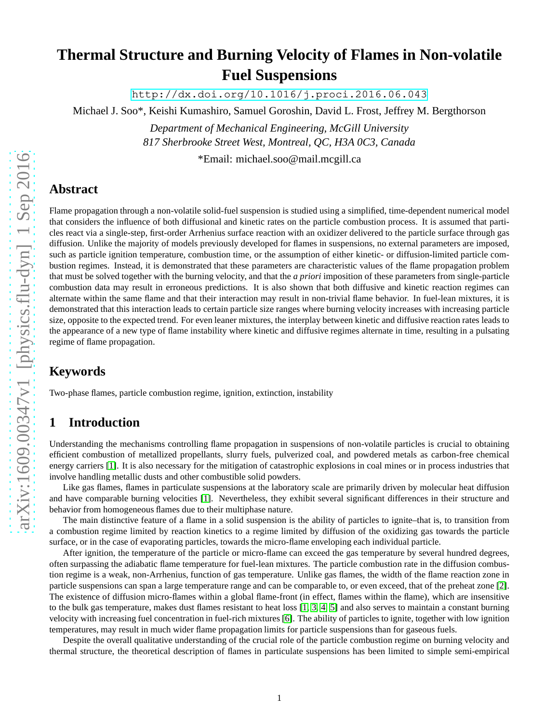# **Thermal Structure and Burning Velocity of Flames in Non-volatile Fuel Suspensions**

<http://dx.doi.org/10.1016/j.proci.2016.06.043>

Michael J. Soo\*, Keishi Kumashiro, Samuel Goroshin, David L. Frost, Jeffrey M. Bergthorson

*Department of Mechanical Engineering, McGill University 817 Sherbrooke Street West, Montreal, QC, H3A 0C3, Canada*

\*Email: michael.soo@mail.mcgill.ca

## **Abstract**

Flame propagation through a non-volatile solid-fuel suspension is studied using a simplified, time-dependent numerical model that considers the influence of both diffusional and kinetic rates on the particle combustion process. It is assumed that particles react via a single-step, first-order Arrhenius surface reaction with an oxidizer delivered to the particle surface through gas diffusion. Unlike the majority of models previously developed for flames in suspensions, no external parameters are imposed, such as particle ignition temperature, combustion time, or the assumption of either kinetic- or diffusion-limited particle combustion regimes. Instead, it is demonstrated that these parameters are characteristic values of the flame propagation problem that must be solved together with the burning velocity, and that the *a priori* imposition of these parameters from single-particle combustion data may result in erroneous predictions. It is also shown that both diffusive and kinetic reaction regimes can alternate within the same flame and that their interaction may result in non-trivial flame behavior. In fuel-lean mixtures, it is demonstrated that this interaction leads to certain particle size ranges where burning velocity increases with increasing particle size, opposite to the expected trend. For even leaner mixtures, the interplay between kinetic and diffusive reaction rates leads to the appearance of a new type of flame instability where kinetic and diffusive regimes alternate in time, resulting in a pulsating regime of flame propagation.

## **Keywords**

Two-phase flames, particle combustion regime, ignition, extinction, instability

# **1 Introduction**

Understanding the mechanisms controlling flame propagation in suspensions of non-volatile particles is crucial to obtaining efficient combustion of metallized propellants, slurry fuels, pulverized coal, and powdered metals as carbon-free chemical energy carriers [\[1\]](#page-7-0). It is also necessary for the mitigation of catastrophic explosions in coal mines or in process industries that involve handling metallic dusts and other combustible solid powders.

Like gas flames, flames in particulate suspensions at the laboratory scale are primarily driven by molecular heat diffusion and have comparable burning velocities [\[1\]](#page-7-0). Nevertheless, they exhibit several significant differences in their structure and behavior from homogeneous flames due to their multiphase nature.

The main distinctive feature of a flame in a solid suspension is the ability of particles to ignite–that is, to transition from a combustion regime limited by reaction kinetics to a regime limited by diffusion of the oxidizing gas towards the particle surface, or in the case of evaporating particles, towards the micro-flame enveloping each individual particle.

After ignition, the temperature of the particle or micro-flame can exceed the gas temperature by several hundred degrees, often surpassing the adiabatic flame temperature for fuel-lean mixtures. The particle combustion rate in the diffusion combustion regime is a weak, non-Arrhenius, function of gas temperature. Unlike gas flames, the width of the flame reaction zone in particle suspensions can span a large temperature range and can be comparable to, or even exceed, that of the preheat zone [\[2\]](#page-7-1). The existence of diffusion micro-flames within a global flame-front (in effect, flames within the flame), which are insensitive to the bulk gas temperature, makes dust flames resistant to heat loss [\[1,](#page-7-0) [3,](#page-7-2) [4,](#page-7-3) [5\]](#page-7-4) and also serves to maintain a constant burning velocity with increasing fuel concentration in fuel-rich mixtures [\[6\]](#page-7-5). The ability of particles to ignite, together with low ignition temperatures, may result in much wider flame propagation limits for particle suspensions than for gaseous fuels.

Despite the overall qualitative understanding of the crucial role of the particle combustion regime on burning velocity and thermal structure, the theoretical description of flames in particulate suspensions has been limited to simple semi-empirical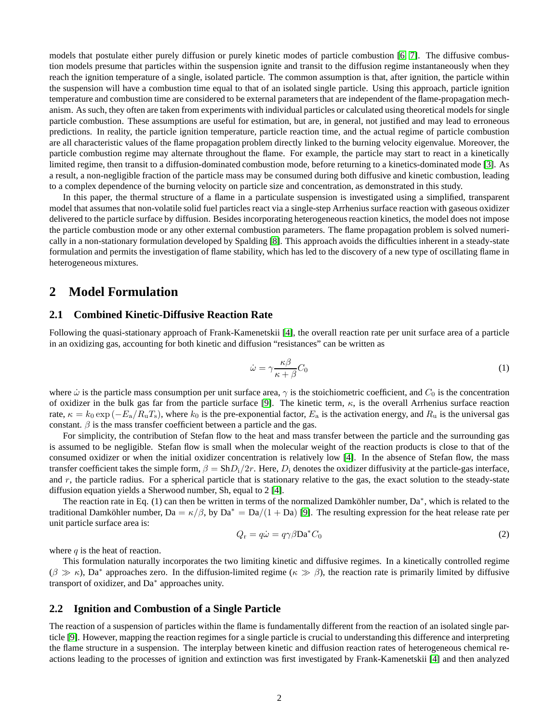models that postulate either purely diffusion or purely kinetic modes of particle combustion [\[6,](#page-7-5) [7\]](#page-7-6). The diffusive combustion models presume that particles within the suspension ignite and transit to the diffusion regime instantaneously when they reach the ignition temperature of a single, isolated particle. The common assumption is that, after ignition, the particle within the suspension will have a combustion time equal to that of an isolated single particle. Using this approach, particle ignition temperature and combustion time are considered to be external parameters that are independent of the flame-propagation mechanism. As such, they often are taken from experiments with individual particles or calculated using theoretical modelsfor single particle combustion. These assumptions are useful for estimation, but are, in general, not justified and may lead to erroneous predictions. In reality, the particle ignition temperature, particle reaction time, and the actual regime of particle combustion are all characteristic values of the flame propagation problem directly linked to the burning velocity eigenvalue. Moreover, the particle combustion regime may alternate throughout the flame. For example, the particle may start to react in a kinetically limited regime, then transit to a diffusion-dominated combustion mode, before returning to a kinetics-dominated mode [\[3\]](#page-7-2). As a result, a non-negligible fraction of the particle mass may be consumed during both diffusive and kinetic combustion, leading to a complex dependence of the burning velocity on particle size and concentration, as demonstrated in this study.

In this paper, the thermal structure of a flame in a particulate suspension is investigated using a simplified, transparent model that assumes that non-volatile solid fuel particles react via a single-step Arrhenius surface reaction with gaseous oxidizer delivered to the particle surface by diffusion. Besides incorporating heterogeneous reaction kinetics, the model does not impose the particle combustion mode or any other external combustion parameters. The flame propagation problem is solved numerically in a non-stationary formulation developed by Spalding [\[8\]](#page-7-7). This approach avoids the difficulties inherent in a steady-state formulation and permits the investigation of flame stability, which has led to the discovery of a new type of oscillating flame in heterogeneous mixtures.

## **2 Model Formulation**

#### **2.1 Combined Kinetic-Diffusive Reaction Rate**

Following the quasi-stationary approach of Frank-Kamenetskii [\[4\]](#page-7-3), the overall reaction rate per unit surface area of a particle in an oxidizing gas, accounting for both kinetic and diffusion "resistances" can be written as

$$
\dot{\omega} = \gamma \frac{\kappa \beta}{\kappa + \beta} C_0 \tag{1}
$$

where  $\dot{\omega}$  is the particle mass consumption per unit surface area,  $\gamma$  is the stoichiometric coefficient, and  $C_0$  is the concentration of oxidizer in the bulk gas far from the particle surface [\[9\]](#page-7-8). The kinetic term,  $\kappa$ , is the overall Arrhenius surface reaction rate,  $\kappa = k_0 \exp(-E_a/R_uT_s)$ , where  $k_0$  is the pre-exponential factor,  $E_a$  is the activation energy, and  $R_u$  is the universal gas constant.  $\beta$  is the mass transfer coefficient between a particle and the gas.

For simplicity, the contribution of Stefan flow to the heat and mass transfer between the particle and the surrounding gas is assumed to be negligible. Stefan flow is small when the molecular weight of the reaction products is close to that of the consumed oxidizer or when the initial oxidizer concentration is relatively low [\[4\]](#page-7-3). In the absence of Stefan flow, the mass transfer coefficient takes the simple form,  $\beta = \text{Sh}D_1/2r$ . Here,  $D_1$  denotes the oxidizer diffusivity at the particle-gas interface, and r, the particle radius. For a spherical particle that is stationary relative to the gas, the exact solution to the steady-state diffusion equation yields a Sherwood number, Sh, equal to 2 [\[4\]](#page-7-3).

The reaction rate in Eq.  $(1)$  can then be written in terms of the normalized Damköhler number, Da<sup>\*</sup>, which is related to the traditional Damköhler number, Da =  $\kappa/\beta$ , by Da<sup>\*</sup> = Da/(1 + Da) [\[9\]](#page-7-8). The resulting expression for the heat release rate per unit particle surface area is:

$$
Q_{\rm r} = q\dot{\omega} = q\gamma\beta \mathbf{D} \mathbf{a}^* C_0 \tag{2}
$$

where  $q$  is the heat of reaction.

This formulation naturally incorporates the two limiting kinetic and diffusive regimes. In a kinetically controlled regime  $(\beta \gg \kappa)$ , Da<sup>\*</sup> approaches zero. In the diffusion-limited regime ( $\kappa \gg \beta$ ), the reaction rate is primarily limited by diffusive transport of oxidizer, and Da<sup>∗</sup> approaches unity.

### **2.2 Ignition and Combustion of a Single Particle**

The reaction of a suspension of particles within the flame is fundamentally different from the reaction of an isolated single particle [\[9\]](#page-7-8). However, mapping the reaction regimes for a single particle is crucial to understanding this difference and interpreting the flame structure in a suspension. The interplay between kinetic and diffusion reaction rates of heterogeneous chemical reactions leading to the processes of ignition and extinction was first investigated by Frank-Kamenetskii [\[4\]](#page-7-3) and then analyzed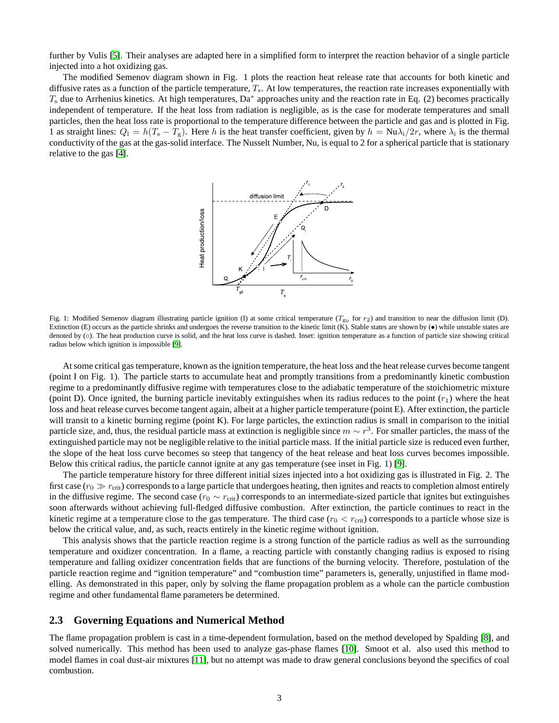further by Vulis [\[5\]](#page-7-4). Their analyses are adapted here in a simplified form to interpret the reaction behavior of a single particle injected into a hot oxidizing gas.

The modified Semenov diagram shown in Fig. 1 plots the reaction heat release rate that accounts for both kinetic and diffusive rates as a function of the particle temperature,  $T_s$ . At low temperatures, the reaction rate increases exponentially with  $T_s$  due to Arrhenius kinetics. At high temperatures, Da<sup>\*</sup> approaches unity and the reaction rate in Eq. (2) becomes practically independent of temperature. If the heat loss from radiation is negligible, as is the case for moderate temperatures and small particles, then the heat loss rate is proportional to the temperature difference between the particle and gas and is plotted in Fig. 1 as straight lines:  $Q_1 = h(T_s - T_g)$ . Here h is the heat transfer coefficient, given by  $h = Nu\lambda_i/2r$ , where  $\lambda_i$  is the thermal conductivity of the gas at the gas-solid interface. The Nusselt Number, Nu, is equal to 2 for a spherical particle that is stationary relative to the gas [\[4\]](#page-7-3).



Fig. 1: Modified Semenov diagram illustrating particle ignition (I) at some critical temperature ( $T_{g0}$  for  $r_2$ ) and transition to near the diffusion limit (D). Extinction (E) occurs as the particle shrinks and undergoes the reverse transition to the kinetic limit  $(K)$ . Stable states are shown by  $\bullet$  while unstable states are denoted by (o). The heat production curve is solid, and the heat loss curve is dashed. Inset: ignition temperature as a function of particle size showing critical radius below which ignition is impossible [\[9\]](#page-7-8).

At some critical gas temperature, known as the ignition temperature, the heat loss and the heat release curves become tangent (point I on Fig. 1). The particle starts to accumulate heat and promptly transitions from a predominantly kinetic combustion regime to a predominantly diffusive regime with temperatures close to the adiabatic temperature of the stoichiometric mixture (point D). Once ignited, the burning particle inevitably extinguishes when its radius reduces to the point  $(r_1)$  where the heat loss and heat release curves become tangent again, albeit at a higher particle temperature (point E). After extinction, the particle will transit to a kinetic burning regime (point K). For large particles, the extinction radius is small in comparison to the initial particle size, and, thus, the residual particle mass at extinction is negligible since  $m \sim r^3$ . For smaller particles, the mass of the extinguished particle may not be negligible relative to the initial particle mass. If the initial particle size is reduced even further, the slope of the heat loss curve becomes so steep that tangency of the heat release and heat loss curves becomes impossible. Below this critical radius, the particle cannot ignite at any gas temperature (see inset in Fig. 1) [\[9\]](#page-7-8).

The particle temperature history for three different initial sizes injected into a hot oxidizing gas is illustrated in Fig. 2. The first case ( $r_0 \gg r_{\text{crit}}$ ) corresponds to a large particle that undergoes heating, then ignites and reacts to completion almost entirely in the diffusive regime. The second case  $(r_0 \sim r_{\text{crit}})$  corresponds to an intermediate-sized particle that ignites but extinguishes soon afterwards without achieving full-fledged diffusive combustion. After extinction, the particle continues to react in the kinetic regime at a temperature close to the gas temperature. The third case ( $r_0 < r_{\text{crit}}$ ) corresponds to a particle whose size is below the critical value, and, as such, reacts entirely in the kinetic regime without ignition.

This analysis shows that the particle reaction regime is a strong function of the particle radius as well as the surrounding temperature and oxidizer concentration. In a flame, a reacting particle with constantly changing radius is exposed to rising temperature and falling oxidizer concentration fields that are functions of the burning velocity. Therefore, postulation of the particle reaction regime and "ignition temperature" and "combustion time" parameters is, generally, unjustified in flame modelling. As demonstrated in this paper, only by solving the flame propagation problem as a whole can the particle combustion regime and other fundamental flame parameters be determined.

### **2.3 Governing Equations and Numerical Method**

The flame propagation problem is cast in a time-dependent formulation, based on the method developed by Spalding [\[8\]](#page-7-7), and solved numerically. This method has been used to analyze gas-phase flames [\[10\]](#page-7-9). Smoot et al. also used this method to model flames in coal dust-air mixtures [\[11\]](#page-8-0), but no attempt was made to draw general conclusions beyond the specifics of coal combustion.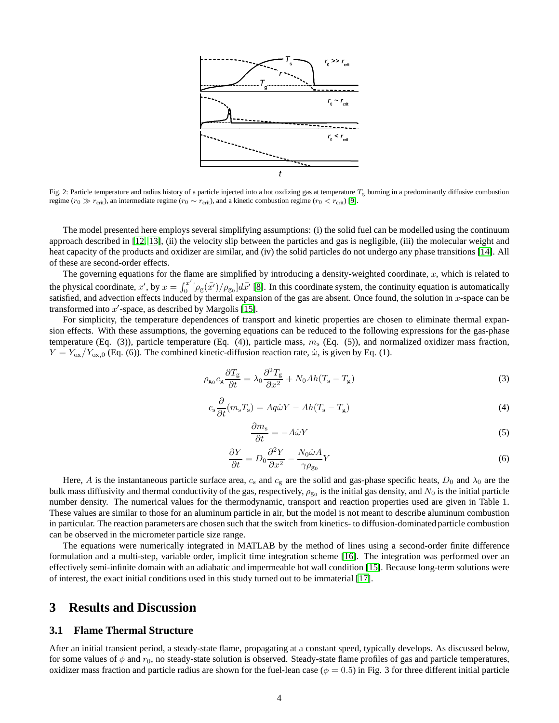

Fig. 2: Particle temperature and radius history of a particle injected into a hot oxdizing gas at temperature  $T_g$  burning in a predominantly diffusive combustion regime ( $r_0 \gg r_{\text{crit}}$ ), an intermediate regime ( $r_0 \sim r_{\text{crit}}$ ), and a kinetic combustion regime ( $r_0 < r_{\text{crit}}$ ) [\[9\]](#page-7-8).

The model presented here employs several simplifying assumptions: (i) the solid fuel can be modelled using the continuum approach described in [\[12,](#page-8-1) [13\]](#page-8-2), (ii) the velocity slip between the particles and gas is negligible, (iii) the molecular weight and heat capacity of the products and oxidizer are similar, and (iv) the solid particles do not undergo any phase transitions [\[14\]](#page-8-3). All of these are second-order effects.

The governing equations for the flame are simplified by introducing a density-weighted coordinate,  $x$ , which is related to the physical coordinate, x', by  $x = \int_0^{x'}$  $\int_0^{\infty} [\rho_g(\vec{x'})/\rho_{g_0}]d\vec{x'}$  [\[8\]](#page-7-7). In this coordinate system, the continuity equation is automatically satisfied, and advection effects induced by thermal expansion of the gas are absent. Once found, the solution in  $x$ -space can be transformed into  $x'$ -space, as described by Margolis [\[15\]](#page-8-4).

For simplicity, the temperature dependences of transport and kinetic properties are chosen to eliminate thermal expansion effects. With these assumptions, the governing equations can be reduced to the following expressions for the gas-phase temperature (Eq. (3)), particle temperature (Eq. (4)), particle mass,  $m_s$  (Eq. (5)), and normalized oxidizer mass fraction,  $Y = Y_{\text{ox}}/Y_{\text{ox},0}$  (Eq. (6)). The combined kinetic-diffusion reaction rate,  $\dot{\omega}$ , is given by Eq. (1).

$$
\rho_{\rm go} c_{\rm g} \frac{\partial T_{\rm g}}{\partial t} = \lambda_0 \frac{\partial^2 T_{\rm g}}{\partial x^2} + N_0 A h (T_{\rm s} - T_{\rm g}) \tag{3}
$$

$$
c_{\rm s} \frac{\partial}{\partial t} (m_{\rm s} T_{\rm s}) = A q \dot{\omega} Y - A h (T_{\rm s} - T_{\rm g}) \tag{4}
$$

$$
\frac{\partial m_s}{\partial t} = -A\dot{\omega}Y\tag{5}
$$

$$
\frac{\partial Y}{\partial t} = D_0 \frac{\partial^2 Y}{\partial x^2} - \frac{N_0 \dot{\omega} A}{\gamma \rho_{g_0}} Y \tag{6}
$$

Here, A is the instantaneous particle surface area,  $c_s$  and  $c_g$  are the solid and gas-phase specific heats,  $D_0$  and  $\lambda_0$  are the bulk mass diffusivity and thermal conductivity of the gas, respectively,  $\rho_{\rm go}$  is the initial gas density, and  $N_0$  is the initial particle number density. The numerical values for the thermodynamic, transport and reaction properties used are given in Table 1. These values are similar to those for an aluminum particle in air, but the model is not meant to describe aluminum combustion in particular. The reaction parameters are chosen such that the switch from kinetics- to diffusion-dominated particle combustion can be observed in the micrometer particle size range.

The equations were numerically integrated in MATLAB by the method of lines using a second-order finite difference formulation and a multi-step, variable order, implicit time integration scheme [\[16\]](#page-8-5). The integration was performed over an effectively semi-infinite domain with an adiabatic and impermeable hot wall condition [\[15\]](#page-8-4). Because long-term solutions were of interest, the exact initial conditions used in this study turned out to be immaterial [\[17\]](#page-8-6).

## **3 Results and Discussion**

#### **3.1 Flame Thermal Structure**

After an initial transient period, a steady-state flame, propagating at a constant speed, typically develops. As discussed below, for some values of  $\phi$  and  $r_0$ , no steady-state solution is observed. Steady-state flame profiles of gas and particle temperatures, oxidizer mass fraction and particle radius are shown for the fuel-lean case ( $\phi = 0.5$ ) in Fig. 3 for three different initial particle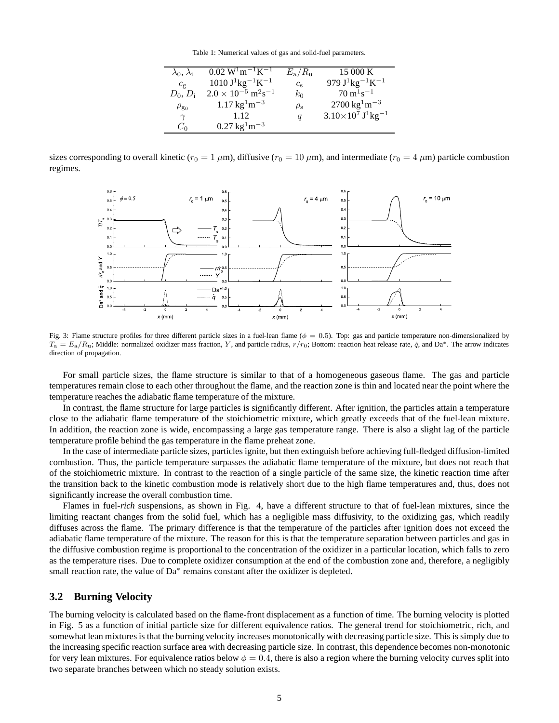Table 1: Numerical values of gas and solid-fuel parameters.

| $\lambda_0, \lambda_{\rm i}$ | $0.02 \text{ W}^1 \text{m}^{-1} \text{K}^{-1}$      | $E_{\rm a}/R_{\rm u}$ | 15 000 K                                           |
|------------------------------|-----------------------------------------------------|-----------------------|----------------------------------------------------|
| $c_{\rm g}$                  | $1010 \text{ J}^1 \text{kg}^{-1} \text{K}^{-1}$     | $c_{\rm s}$           | 979 J ${}^{1}$ kg <sup>-1</sup> K <sup>-1</sup>    |
| $D_0, D_i$                   | $2.0 \times 10^{-5}$ m <sup>2</sup> s <sup>-1</sup> | $k_0$                 | $70 \text{ m}^1\text{s}^{-1}$                      |
| $\rho_{\rm g_0}$             | $1.17 \text{ kg}^1 \text{m}^{-3}$                   | $\rho_{\rm s}$        | $2700 \text{ kg}^1 \text{m}^{-3}$                  |
| $\gamma$                     | 1.12                                                | $\boldsymbol{q}$      | $3.10\times10^{7}$ J <sup>1</sup> kg <sup>-1</sup> |
| $C_0$                        | $0.27 \text{ kg}^1 \text{m}^{-3}$                   |                       |                                                    |

sizes corresponding to overall kinetic ( $r_0 = 1 \mu m$ ), diffusive ( $r_0 = 10 \mu m$ ), and intermediate ( $r_0 = 4 \mu m$ ) particle combustion regimes.



Fig. 3: Flame structure profiles for three different particle sizes in a fuel-lean flame ( $\phi = 0.5$ ). Top: gas and particle temperature non-dimensionalized by  $T_a = E_a/R_u$ ; Middle: normalized oxidizer mass fraction, Y, and particle radius,  $r/r_0$ ; Bottom: reaction heat release rate, q, and Da\*. The arrow indicates direction of propagation.

For small particle sizes, the flame structure is similar to that of a homogeneous gaseous flame. The gas and particle temperatures remain close to each other throughout the flame, and the reaction zone is thin and located near the point where the temperature reaches the adiabatic flame temperature of the mixture.

In contrast, the flame structure for large particles is significantly different. After ignition, the particles attain a temperature close to the adiabatic flame temperature of the stoichiometric mixture, which greatly exceeds that of the fuel-lean mixture. In addition, the reaction zone is wide, encompassing a large gas temperature range. There is also a slight lag of the particle temperature profile behind the gas temperature in the flame preheat zone.

In the case of intermediate particle sizes, particles ignite, but then extinguish before achieving full-fledged diffusion-limited combustion. Thus, the particle temperature surpasses the adiabatic flame temperature of the mixture, but does not reach that of the stoichiometric mixture. In contrast to the reaction of a single particle of the same size, the kinetic reaction time after the transition back to the kinetic combustion mode is relatively short due to the high flame temperatures and, thus, does not significantly increase the overall combustion time.

Flames in fuel-*rich* suspensions, as shown in Fig. 4, have a different structure to that of fuel-lean mixtures, since the limiting reactant changes from the solid fuel, which has a negligible mass diffusivity, to the oxidizing gas, which readily diffuses across the flame. The primary difference is that the temperature of the particles after ignition does not exceed the adiabatic flame temperature of the mixture. The reason for this is that the temperature separation between particles and gas in the diffusive combustion regime is proportional to the concentration of the oxidizer in a particular location, which falls to zero as the temperature rises. Due to complete oxidizer consumption at the end of the combustion zone and, therefore, a negligibly small reaction rate, the value of Da<sup>\*</sup> remains constant after the oxidizer is depleted.

### **3.2 Burning Velocity**

The burning velocity is calculated based on the flame-front displacement as a function of time. The burning velocity is plotted in Fig. 5 as a function of initial particle size for different equivalence ratios. The general trend for stoichiometric, rich, and somewhat lean mixtures is that the burning velocity increases monotonically with decreasing particle size. This is simply due to the increasing specific reaction surface area with decreasing particle size. In contrast, this dependence becomes non-monotonic for very lean mixtures. For equivalence ratios below  $\phi = 0.4$ , there is also a region where the burning velocity curves split into two separate branches between which no steady solution exists.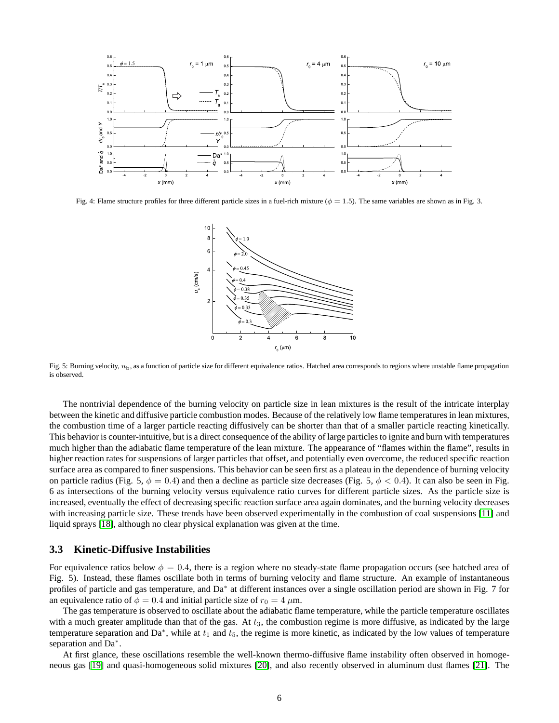

Fig. 4: Flame structure profiles for three different particle sizes in a fuel-rich mixture ( $\phi = 1.5$ ). The same variables are shown as in Fig. 3.



Fig. 5: Burning velocity,  $u<sub>b</sub>$ , as a function of particle size for different equivalence ratios. Hatched area corresponds to regions where unstable flame propagation is observed.

The nontrivial dependence of the burning velocity on particle size in lean mixtures is the result of the intricate interplay between the kinetic and diffusive particle combustion modes. Because of the relatively low flame temperatures in lean mixtures, the combustion time of a larger particle reacting diffusively can be shorter than that of a smaller particle reacting kinetically. This behavior is counter-intuitive, but is a direct consequence of the ability of large particles to ignite and burn with temperatures much higher than the adiabatic flame temperature of the lean mixture. The appearance of "flames within the flame", results in higher reaction rates for suspensions of larger particles that offset, and potentially even overcome, the reduced specific reaction surface area as compared to finer suspensions. This behavior can be seen first as a plateau in the dependence of burning velocity on particle radius (Fig. 5,  $\phi = 0.4$ ) and then a decline as particle size decreases (Fig. 5,  $\phi < 0.4$ ). It can also be seen in Fig. 6 as intersections of the burning velocity versus equivalence ratio curves for different particle sizes. As the particle size is increased, eventually the effect of decreasing specific reaction surface area again dominates, and the burning velocity decreases with increasing particle size. These trends have been observed experimentally in the combustion of coal suspensions [\[11\]](#page-8-0) and liquid sprays [\[18\]](#page-8-7), although no clear physical explanation was given at the time.

#### **3.3 Kinetic-Diffusive Instabilities**

For equivalence ratios below  $\phi = 0.4$ , there is a region where no steady-state flame propagation occurs (see hatched area of Fig. 5). Instead, these flames oscillate both in terms of burning velocity and flame structure. An example of instantaneous profiles of particle and gas temperature, and Da<sup>∗</sup> at different instances over a single oscillation period are shown in Fig. 7 for an equivalence ratio of  $\phi = 0.4$  and initial particle size of  $r_0 = 4 \mu m$ .

The gas temperature is observed to oscillate about the adiabatic flame temperature, while the particle temperature oscillates with a much greater amplitude than that of the gas. At  $t_3$ , the combustion regime is more diffusive, as indicated by the large temperature separation and Da<sup>\*</sup>, while at  $t_1$  and  $t_5$ , the regime is more kinetic, as indicated by the low values of temperature separation and Da<sup>\*</sup>.

At first glance, these oscillations resemble the well-known thermo-diffusive flame instability often observed in homogeneous gas [\[19\]](#page-8-8) and quasi-homogeneous solid mixtures [\[20\]](#page-8-9), and also recently observed in aluminum dust flames [\[21\]](#page-8-10). The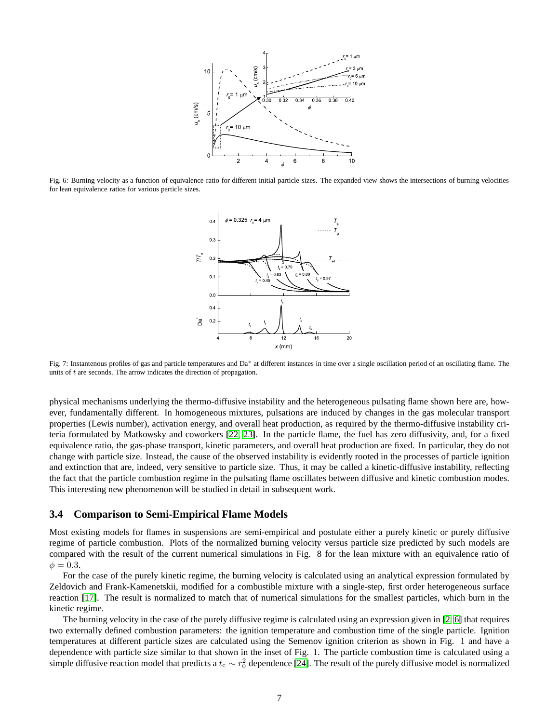

Fig. 6: Burning velocity as a function of equivalence ratio for different initial particle sizes. The expanded view shows the intersections of burning velocities for lean equivalence ratios for various particle sizes.



Fig. 7: Instantenous profiles of gas and particle temperatures and Da<sup>∗</sup> at different instances in time over a single oscillation period of an oscillating flame. The units of  $t$  are seconds. The arrow indicates the direction of propagation.

physical mechanisms underlying the thermo-diffusive instability and the heterogeneous pulsating flame shown here are, however, fundamentally different. In homogeneous mixtures, pulsations are induced by changes in the gas molecular transport properties (Lewis number), activation energy, and overall heat production, as required by the thermo-diffusive instability criteria formulated by Matkowsky and coworkers [\[22,](#page-8-11) [23\]](#page-8-12). In the particle flame, the fuel has zero diffusivity, and, for a fixed equivalence ratio, the gas-phase transport, kinetic parameters, and overall heat production are fixed. In particular, they do not change with particle size. Instead, the cause of the observed instability is evidently rooted in the processes of particle ignition and extinction that are, indeed, very sensitive to particle size. Thus, it may be called a kinetic-diffusive instability, reflecting the fact that the particle combustion regime in the pulsating flame oscillates between diffusive and kinetic combustion modes. This interesting new phenomenon will be studied in detail in subsequent work.

#### **3.4 Comparison to Semi-Empirical Flame Models**

Most existing models for flames in suspensions are semi-empirical and postulate either a purely kinetic or purely diffusive regime of particle combustion. Plots of the normalized burning velocity versus particle size predicted by such models are compared with the result of the current numerical simulations in Fig. 8 for the lean mixture with an equivalence ratio of  $\phi = 0.3$ .

For the case of the purely kinetic regime, the burning velocity is calculated using an analytical expression formulated by Zeldovich and Frank-Kamenetskii, modified for a combustible mixture with a single-step, first order heterogeneous surface reaction [\[17\]](#page-8-6). The result is normalized to match that of numerical simulations for the smallest particles, which burn in the kinetic regime.

The burning velocity in the case of the purely diffusive regime is calculated using an expression given in [\[2,](#page-7-1) [6\]](#page-7-5) that requires two externally defined combustion parameters: the ignition temperature and combustion time of the single particle. Ignition temperatures at different particle sizes are calculated using the Semenov ignition criterion as shown in Fig. 1 and have a dependence with particle size similar to that shown in the inset of Fig. 1. The particle combustion time is calculated using a simple diffusive reaction model that predicts a  $t_c \sim r_0^2$  dependence [\[24\]](#page-8-13). The result of the purely diffusive model is normalized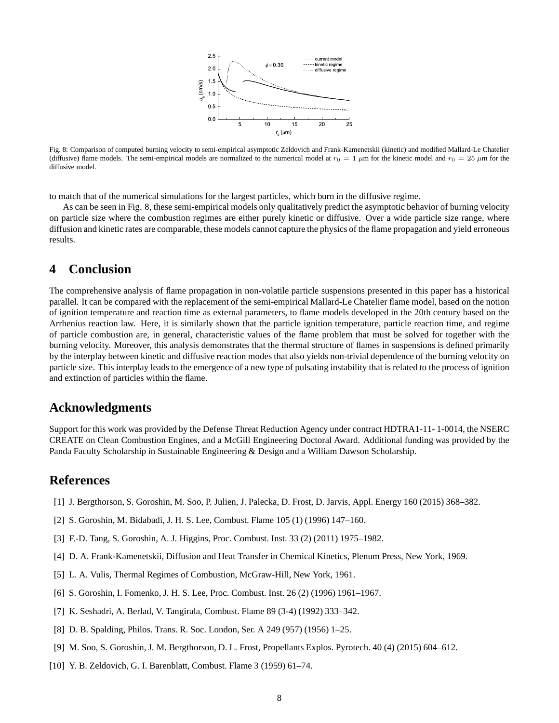

Fig. 8: Comparison of computed burning velocity to semi-empirical asymptotic Zeldovich and Frank-Kamenetskii (kinetic) and modified Mallard-Le Chatelier (diffusive) flame models. The semi-empirical models are normalized to the numerical model at  $r_0 = 1 \mu m$  for the kinetic model and  $r_0 = 25 \mu m$  for the diffusive model.

to match that of the numerical simulations for the largest particles, which burn in the diffusive regime.

As can be seen in Fig. 8, these semi-empirical models only qualitatively predict the asymptotic behavior of burning velocity on particle size where the combustion regimes are either purely kinetic or diffusive. Over a wide particle size range, where diffusion and kinetic rates are comparable, these models cannot capture the physics of the flame propagation and yield erroneous results.

## **4 Conclusion**

The comprehensive analysis of flame propagation in non-volatile particle suspensions presented in this paper has a historical parallel. It can be compared with the replacement of the semi-empirical Mallard-Le Chatelier flame model, based on the notion of ignition temperature and reaction time as external parameters, to flame models developed in the 20th century based on the Arrhenius reaction law. Here, it is similarly shown that the particle ignition temperature, particle reaction time, and regime of particle combustion are, in general, characteristic values of the flame problem that must be solved for together with the burning velocity. Moreover, this analysis demonstrates that the thermal structure of flames in suspensions is defined primarily by the interplay between kinetic and diffusive reaction modes that also yields non-trivial dependence of the burning velocity on particle size. This interplay leads to the emergence of a new type of pulsating instability that is related to the process of ignition and extinction of particles within the flame.

## **Acknowledgments**

Support for this work was provided by the Defense Threat Reduction Agency under contract HDTRA1-11- 1-0014, the NSERC CREATE on Clean Combustion Engines, and a McGill Engineering Doctoral Award. Additional funding was provided by the Panda Faculty Scholarship in Sustainable Engineering & Design and a William Dawson Scholarship.

## <span id="page-7-0"></span>**References**

- <span id="page-7-1"></span>[1] J. Bergthorson, S. Goroshin, M. Soo, P. Julien, J. Palecka, D. Frost, D. Jarvis, Appl. Energy 160 (2015) 368–382.
- <span id="page-7-2"></span>[2] S. Goroshin, M. Bidabadi, J. H. S. Lee, Combust. Flame 105 (1) (1996) 147–160.
- <span id="page-7-3"></span>[3] F.-D. Tang, S. Goroshin, A. J. Higgins, Proc. Combust. Inst. 33 (2) (2011) 1975–1982.
- <span id="page-7-4"></span>[4] D. A. Frank-Kamenetskii, Diffusion and Heat Transfer in Chemical Kinetics, Plenum Press, New York, 1969.
- <span id="page-7-5"></span>[5] L. A. Vulis, Thermal Regimes of Combustion, McGraw-Hill, New York, 1961.
- <span id="page-7-6"></span>[6] S. Goroshin, I. Fomenko, J. H. S. Lee, Proc. Combust. Inst. 26 (2) (1996) 1961–1967.
- <span id="page-7-7"></span>[7] K. Seshadri, A. Berlad, V. Tangirala, Combust. Flame 89 (3-4) (1992) 333–342.
- <span id="page-7-8"></span>[8] D. B. Spalding, Philos. Trans. R. Soc. London, Ser. A 249 (957) (1956) 1–25.
- <span id="page-7-9"></span>[9] M. Soo, S. Goroshin, J. M. Bergthorson, D. L. Frost, Propellants Explos. Pyrotech. 40 (4) (2015) 604–612.
- [10] Y. B. Zeldovich, G. I. Barenblatt, Combust. Flame 3 (1959) 61–74.